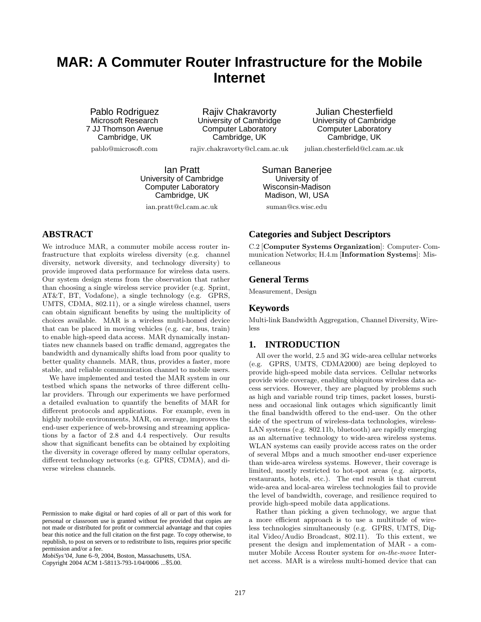# **MAR: A Commuter Router Infrastructure for the Mobile Internet**

Pablo Rodriguez Microsoft Research 7 JJ Thomson Avenue Cambridge, UK

pablo@microsoft.com

Rajiv Chakravorty University of Cambridge Computer Laboratory Cambridge, UK

rajiv.chakravorty@cl.cam.ac.uk

Ian Pratt University of Cambridge Computer Laboratory Cambridge, UK

ian.pratt@cl.cam.ac.uk

# **ABSTRACT**

We introduce MAR, a commuter mobile access router infrastructure that exploits wireless diversity (e.g. channel diversity, network diversity, and technology diversity) to provide improved data performance for wireless data users. Our system design stems from the observation that rather than choosing a single wireless service provider (e.g. Sprint, AT&T, BT, Vodafone), a single technology (e.g. GPRS, UMTS, CDMA, 802.11), or a single wireless channel, users can obtain significant benefits by using the multiplicity of choices available. MAR is a wireless multi-homed device that can be placed in moving vehicles (e.g. car, bus, train) to enable high-speed data access. MAR dynamically instantiates new channels based on traffic demand, aggregates the bandwidth and dynamically shifts load from poor quality to better quality channels. MAR, thus, provides a faster, more stable, and reliable communication channel to mobile users.

We have implemented and tested the MAR system in our testbed which spans the networks of three different cellular providers. Through our experiments we have performed a detailed evaluation to quantify the benefits of MAR for different protocols and applications. For example, even in highly mobile environments, MAR, on average, improves the end-user experience of web-browsing and streaming applications by a factor of 2.8 and 4.4 respectively. Our results show that significant benefits can be obtained by exploiting the diversity in coverage offered by many cellular operators, different technology networks (e.g. GPRS, CDMA), and diverse wireless channels.

Suman Banerjee University of Wisconsin-Madison Madison, WI, USA

suman@cs.wisc.edu

### **Categories and Subject Descriptors**

C.2 [**Computer Systems Organization**]: Computer- Communication Networks; H.4.m [**Information Systems**]: Miscellaneous

Julian Chesterfield University of Cambridge Computer Laboratory Cambridge, UK julian.chesterfield@cl.cam.ac.uk

### **General Terms**

Measurement, Design

#### **Keywords**

Multi-link Bandwidth Aggregation, Channel Diversity, Wireless

### **1. INTRODUCTION**

All over the world, 2.5 and 3G wide-area cellular networks (e.g. GPRS, UMTS, CDMA2000) are being deployed to provide high-speed mobile data services. Cellular networks provide wide coverage, enabling ubiquitous wireless data access services. However, they are plagued by problems such as high and variable round trip times, packet losses, burstiness and occasional link outages which significantly limit the final bandwidth offered to the end-user. On the other side of the spectrum of wireless-data technologies, wireless-LAN systems (e.g. 802.11b, bluetooth) are rapidly emerging as an alternative technology to wide-area wireless systems. WLAN systems can easily provide access rates on the order of several Mbps and a much smoother end-user experience than wide-area wireless systems. However, their coverage is limited, mostly restricted to hot-spot areas (e.g. airports, restaurants, hotels, etc.). The end result is that current wide-area and local-area wireless technologies fail to provide the level of bandwidth, coverage, and resilience required to provide high-speed mobile data applications.

Rather than picking a given technology, we argue that a more efficient approach is to use a multitude of wireless technologies simultaneously (e.g. GPRS, UMTS, Digital Video/Audio Broadcast, 802.11). To this extent, we present the design and implementation of MAR - a commuter Mobile Access Router system for *on-the-move* Internet access. MAR is a wireless multi-homed device that can

Permission to make digital or hard copies of all or part of this work for personal or classroom use is granted without fee provided that copies are not made or distributed for profit or commercial advantage and that copies bear this notice and the full citation on the first page. To copy otherwise, to republish, to post on servers or to redistribute to lists, requires prior specific permission and/or a fee.

*MobiSys'04,* June 6–9, 2004, Boston, Massachusetts, USA.

Copyright 2004 ACM 1-58113-793-1/04/0006 ...\$5.00.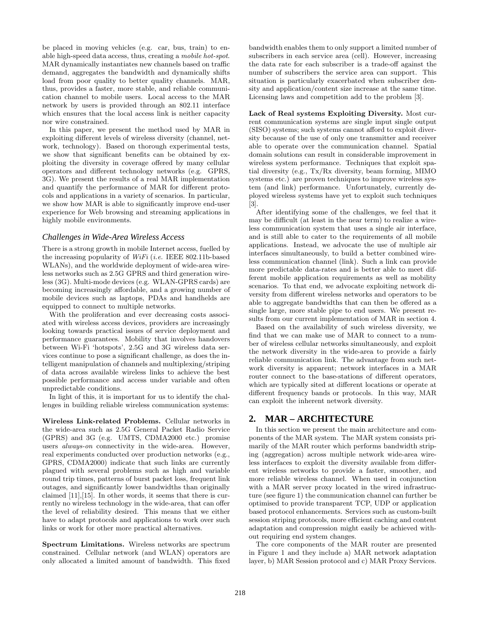be placed in moving vehicles (e.g. car, bus, train) to enable high-speed data access, thus, creating a *mobile hot-spot*. MAR dynamically instantiates new channels based on traffic demand, aggregates the bandwidth and dynamically shifts load from poor quality to better quality channels. MAR, thus, provides a faster, more stable, and reliable communication channel to mobile users. Local access to the MAR network by users is provided through an 802.11 interface which ensures that the local access link is neither capacity nor wire constrained.

In this paper, we present the method used by MAR in exploiting different levels of wireless diversity (channel, network, technology). Based on thorough experimental tests, we show that significant benefits can be obtained by exploiting the diversity in coverage offered by many cellular operators and different technology networks (e.g. GPRS, 3G). We present the results of a real MAR implementation and quantify the performance of MAR for different protocols and applications in a variety of scenarios. In particular, we show how MAR is able to significantly improve end-user experience for Web browsing and streaming applications in highly mobile environments.

#### *Challenges in Wide-Area Wireless Access*

There is a strong growth in mobile Internet access, fuelled by the increasing popularity of *WiFi* (*i.e.* IEEE 802.11b-based WLANs), and the worldwide deployment of wide-area wireless networks such as 2.5G GPRS and third generation wireless (3G). Multi-mode devices (e.g. WLAN-GPRS cards) are becoming increasingly affordable, and a growing number of mobile devices such as laptops, PDAs and handhelds are equipped to connect to multiple networks.

With the proliferation and ever decreasing costs associated with wireless access devices, providers are increasingly looking towards practical issues of service deployment and performance guarantees. Mobility that involves handovers between Wi-Fi 'hotspots', 2.5G and 3G wireless data services continue to pose a significant challenge, as does the intelligent manipulation of channels and multiplexing/striping of data across available wireless links to achieve the best possible performance and access under variable and often unpredictable conditions.

In light of this, it is important for us to identify the challenges in building reliable wireless communication systems:

**Wireless Link-related Problems.** Cellular networks in the wide-area such as 2.5G General Packet Radio Service (GPRS) and 3G (e.g. UMTS, CDMA2000 etc.) promise users *always-on* connectivity in the wide-area. However, real experiments conducted over production networks (e.g., GPRS, CDMA2000) indicate that such links are currently plagued with several problems such as high and variable round trip times, patterns of burst packet loss, frequent link outages, and significantly lower bandwidths than originally claimed [11],[15]. In other words, it seems that there is currently no wireless technology in the wide-area, that can offer the level of reliability desired. This means that we either have to adapt protocols and applications to work over such links or work for other more practical alternatives.

**Spectrum Limitations.** Wireless networks are spectrum constrained. Cellular network (and WLAN) operators are only allocated a limited amount of bandwidth. This fixed

bandwidth enables them to only support a limited number of subscribers in each service area (cell). However, increasing the data rate for each subscriber is a trade-off against the number of subscribers the service area can support. This situation is particularly exacerbated when subscriber density and application/content size increase at the same time. Licensing laws and competition add to the problem [3].

**Lack of Real systems Exploiting Diversity.** Most current communication systems are single input single output (SISO) systems; such systems cannot afford to exploit diversity because of the use of only one transmitter and receiver able to operate over the communication channel. Spatial domain solutions can result in considerable improvement in wireless system performance. Techniques that exploit spatial diversity (e.g., Tx/Rx diversity, beam forming, MIMO systems etc.) are proven techniques to improve wireless system (and link) performance. Unfortunately, currently deployed wireless systems have yet to exploit such techniques [3].

After identifying some of the challenges, we feel that it may be difficult (at least in the near term) to realize a wireless communication system that uses a single air interface, and is still able to cater to the requirements of all mobile applications. Instead, we advocate the use of multiple air interfaces simultaneously, to build a better combined wireless communication channel (link). Such a link can provide more predictable data-rates and is better able to meet different mobile application requirements as well as mobility scenarios. To that end, we advocate exploiting network diversity from different wireless networks and operators to be able to aggregate bandwidths that can then be offered as a single large, more stable pipe to end users. We present results from our current implementation of MAR in section 4.

Based on the availability of such wireless diversity, we find that we can make use of MAR to connect to a number of wireless cellular networks simultaneously, and exploit the network diversity in the wide-area to provide a fairly reliable communication link. The advantage from such network diversity is apparent; network interfaces in a MAR router connect to the base-stations of different operators, which are typically sited at different locations or operate at different frequency bands or protocols. In this way, MAR can exploit the inherent network diversity.

### **2. MAR – ARCHITECTURE**

In this section we present the main architecture and components of the MAR system. The MAR system consists primarily of the MAR router which performs bandwidth striping (aggregation) across multiple network wide-area wireless interfaces to exploit the diversity available from different wireless networks to provide a faster, smoother, and more reliable wireless channel. When used in conjunction with a MAR server proxy located in the wired infrastructure (see figure 1) the communication channel can further be optimised to provide transparent TCP, UDP or application based protocol enhancements. Services such as custom-built session striping protocols, more efficient caching and content adaptation and compression might easily be achieved without requiring end system changes.

The core components of the MAR router are presented in Figure 1 and they include a) MAR network adaptation layer, b) MAR Session protocol and c) MAR Proxy Services.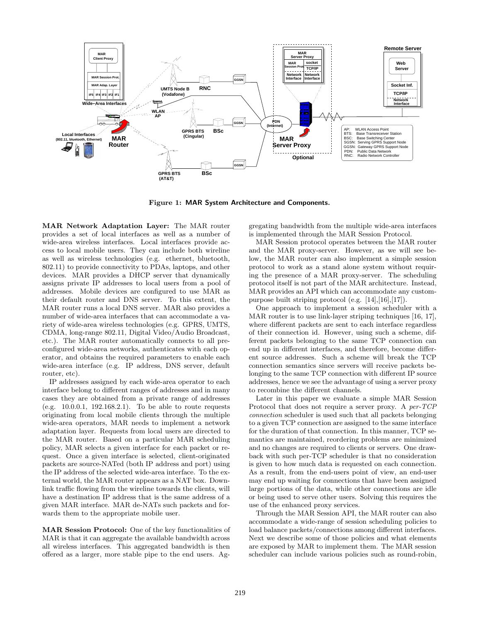

**Figure 1: MAR System Architecture and Components.**

**MAR Network Adaptation Layer:** The MAR router provides a set of local interfaces as well as a number of wide-area wireless interfaces. Local interfaces provide access to local mobile users. They can include both wireline as well as wireless technologies (e.g. ethernet, bluetooth, 802.11) to provide connectivity to PDAs, laptops, and other devices. MAR provides a DHCP server that dynamically assigns private IP addresses to local users from a pool of addresses. Mobile devices are configured to use MAR as their default router and DNS server. To this extent, the MAR router runs a local DNS server. MAR also provides a number of wide-area interfaces that can accommodate a variety of wide-area wireless technologies (e.g. GPRS, UMTS, CDMA, long-range 802.11, Digital Video/Audio Broadcast, etc.). The MAR router automatically connects to all preconfigured wide-area networks, authenticates with each operator, and obtains the required parameters to enable each wide-area interface (e.g. IP address, DNS server, default router, etc).

IP addresses assigned by each wide-area operator to each interface belong to different ranges of addresses and in many cases they are obtained from a private range of addresses (e.g. 10.0.0.1, 192.168.2.1). To be able to route requests originating from local mobile clients through the multiple wide-area operators, MAR needs to implement a network adaptation layer. Requests from local users are directed to the MAR router. Based on a particular MAR scheduling policy, MAR selects a given interface for each packet or request. Once a given interface is selected, client-originated packets are source-NATed (both IP address and port) using the IP address of the selected wide-area interface. To the external world, the MAR router appears as a NAT box. Downlink traffic flowing from the wireline towards the clients, will have a destination IP address that is the same address of a given MAR interface. MAR de-NATs such packets and forwards them to the appropriate mobile user.

**MAR Session Protocol:** One of the key functionalities of MAR is that it can aggregate the available bandwidth across all wireless interfaces. This aggregated bandwidth is then offered as a larger, more stable pipe to the end users. Aggregating bandwidth from the multiple wide-area interfaces is implemented through the MAR Session Protocol.

MAR Session protocol operates between the MAR router and the MAR proxy-server. However, as we will see below, the MAR router can also implement a simple session protocol to work as a stand alone system without requiring the presence of a MAR proxy-server. The scheduling protocol itself is not part of the MAR architecture. Instead, MAR provides an API which can accommodate any custompurpose built striping protocol (e.g. [14],[16],[17]).

One approach to implement a session scheduler with a MAR router is to use link-layer striping techniques [16, 17], where different packets are sent to each interface regardless of their connection id. However, using such a scheme, different packets belonging to the same TCP connection can end up in different interfaces, and therefore, become different source addresses. Such a scheme will break the TCP connection semantics since servers will receive packets belonging to the same TCP connection with different IP source addresses, hence we see the advantage of using a server proxy to recombine the different channels.

Later in this paper we evaluate a simple MAR Session Protocol that does not require a server proxy. A *per-TCP connection* scheduler is used such that all packets belonging to a given TCP connection are assigned to the same interface for the duration of that connection. In this manner, TCP semantics are maintained, reordering problems are minimized and no changes are required to clients or servers. One drawback with such per-TCP scheduler is that no consideration is given to how much data is requested on each connection. As a result, from the end-users point of view, an end-user may end up waiting for connections that have been assigned large portions of the data, while other connections are idle or being used to serve other users. Solving this requires the use of the enhanced proxy services.

Through the MAR Session API, the MAR router can also accommodate a wide-range of session scheduling policies to load balance packets/connections among different interfaces. Next we describe some of those policies and what elements are exposed by MAR to implement them. The MAR session scheduler can include various policies such as round-robin,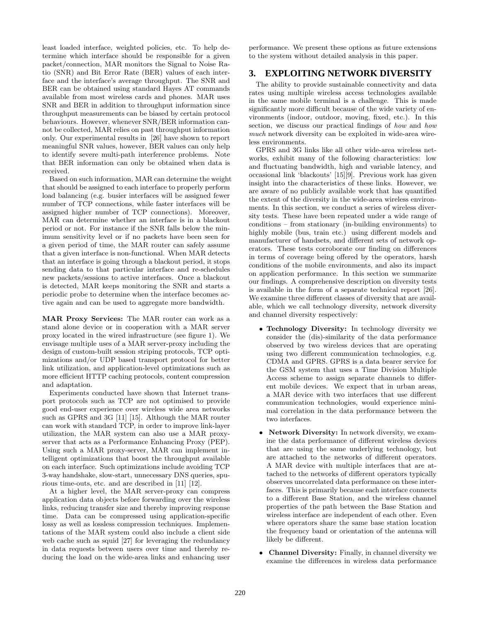least loaded interface, weighted policies, etc. To help determine which interface should be responsible for a given packet/connection, MAR monitors the Signal to Noise Ratio (SNR) and Bit Error Rate (BER) values of each interface and the interface's average throughput. The SNR and BER can be obtained using standard Hayes AT commands available from most wireless cards and phones. MAR uses SNR and BER in addition to throughput information since throughput measurements can be biased by certain protocol behaviours. However, whenever SNR/BER information cannot be collected, MAR relies on past throughput information only. Our experimental results in [26] have shown to report meaningful SNR values, however, BER values can only help to identify severe multi-path interference problems. Note that BER information can only be obtained when data is received.

Based on such information, MAR can determine the weight that should be assigned to each interface to properly perform load balancing (e.g. busier interfaces will be assigned fewer number of TCP connections, while faster interfaces will be assigned higher number of TCP connections). Moreover, MAR can determine whether an interface is in a blackout period or not. For instance if the SNR falls below the minimum sensitivity level or if no packets have been seen for a given period of time, the MAR router can safely assume that a given interface is non-functional. When MAR detects that an interface is going through a blackout period, it stops sending data to that particular interface and re-schedules new packets/sessions to active interfaces. Once a blackout is detected, MAR keeps monitoring the SNR and starts a periodic probe to determine when the interface becomes active again and can be used to aggregate more bandwidth.

**MAR Proxy Services:** The MAR router can work as a stand alone device or in cooperation with a MAR server proxy located in the wired infrastructure (see figure 1). We envisage multiple uses of a MAR server-proxy including the design of custom-built session striping protocols, TCP optimizations and/or UDP based transport protocol for better link utilization, and application-level optimizations such as more efficient HTTP caching protocols, content compression and adaptation.

Experiments conducted have shown that Internet transport protocols such as TCP are not optimised to provide good end-user experience over wireless wide area networks such as GPRS and 3G [11] [15]. Although the MAR router can work with standard TCP, in order to improve link-layer utilization, the MAR system can also use a MAR proxyserver that acts as a Performance Enhancing Proxy (PEP). Using such a MAR proxy-server, MAR can implement intelligent optimizations that boost the throughput available on each interface. Such optimizations include avoiding TCP 3-way handshake, slow-start, unnecessary DNS queries, spurious time-outs, etc. and are described in [11] [12].

At a higher level, the MAR server-proxy can compress application data objects before forwarding over the wireless links, reducing transfer size and thereby improving response time. Data can be compressed using application-specific lossy as well as lossless compression techniques. Implementations of the MAR system could also include a client side web cache such as squid [27] for leveraging the redundancy in data requests between users over time and thereby reducing the load on the wide-area links and enhancing user

performance. We present these options as future extensions to the system without detailed analysis in this paper.

# **3. EXPLOITING NETWORK DIVERSITY**

The ability to provide sustainable connectivity and data rates using multiple wireless access technologies available in the same mobile terminal is a challenge. This is made significantly more difficult because of the wide variety of environments (indoor, outdoor, moving, fixed, etc.). In this section, we discuss our practical findings of *how* and *how much* network diversity can be exploited in wide-area wireless environments.

GPRS and 3G links like all other wide-area wireless networks, exhibit many of the following characteristics: low and fluctuating bandwidth, high and variable latency, and occasional link 'blackouts' [15][9]. Previous work has given insight into the characteristics of these links. However, we are aware of no publicly available work that has quantified the extent of the diversity in the wide-area wireless environments. In this section, we conduct a series of wireless diversity tests. These have been repeated under a wide range of conditions – from stationary (in-building environments) to highly mobile (bus, train etc.) using different models and manufacturer of handsets, and different sets of network operators. These tests corroborate our finding on differences in terms of coverage being offered by the operators, harsh conditions of the mobile environments, and also its impact on application performance. In this section we summarize our findings. A comprehensive description on diversity tests is available in the form of a separate technical report [26]. We examine three different classes of diversity that are available, which we call technology diversity, network diversity and channel diversity respectively:

- **Technology Diversity:** In technology diversity we consider the (dis)-similarity of the data performance observed by two wireless devices that are operating using two different communication technologies, e.g. CDMA and GPRS. GPRS is a data bearer service for the GSM system that uses a Time Division Multiple Access scheme to assign separate channels to different mobile devices. We expect that in urban areas, a MAR device with two interfaces that use different communication technologies, would experience minimal correlation in the data performance between the two interfaces.
- **Network Diversity:** In network diversity, we examine the data performance of different wireless devices that are using the same underlying technology, but are attached to the networks of different operators. A MAR device with multiple interfaces that are attached to the networks of different operators typically observes uncorrelated data performance on these interfaces. This is primarily because each interface connects to a different Base Station, and the wireless channel properties of the path between the Base Station and wireless interface are independent of each other. Even where operators share the same base station location the frequency band or orientation of the antenna will likely be different.
- **Channel Diversity:** Finally, in channel diversity we examine the differences in wireless data performance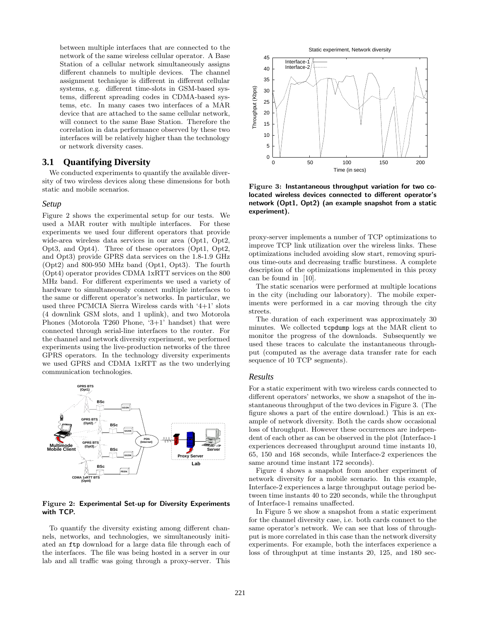between multiple interfaces that are connected to the network of the same wireless cellular operator. A Base Station of a cellular network simultaneously assigns different channels to multiple devices. The channel assignment technique is different in different cellular systems, e.g. different time-slots in GSM-based systems, different spreading codes in CDMA-based systems, etc. In many cases two interfaces of a MAR device that are attached to the same cellular network, will connect to the same Base Station. Therefore the correlation in data performance observed by these two interfaces will be relatively higher than the technology or network diversity cases.

## **3.1 Quantifying Diversity**

We conducted experiments to quantify the available diversity of two wireless devices along these dimensions for both static and mobile scenarios.

#### *Setup*

Figure 2 shows the experimental setup for our tests. We used a MAR router with multiple interfaces. For these experiments we used four different operators that provide wide-area wireless data services in our area (Opt1, Opt2, Opt3, and Opt4). Three of these operators (Opt1, Opt2, and Opt3) provide GPRS data services on the 1.8-1.9 GHz (Opt2) and 800-950 MHz band (Opt1, Opt3). The fourth (Opt4) operator provides CDMA 1xRTT services on the 800 MHz band. For different experiments we used a variety of hardware to simultaneously connect multiple interfaces to the same or different operator's networks. In particular, we used three PCMCIA Sierra Wireless cards with '4+1' slots (4 downlink GSM slots, and 1 uplink), and two Motorola Phones (Motorola T260 Phone, '3+1' handset) that were connected through serial-line interfaces to the router. For the channel and network diversity experiment, we performed experiments using the live-production networks of the three GPRS operators. In the technology diversity experiments we used GPRS and CDMA 1xRTT as the two underlying communication technologies.



#### **Figure 2: Experimental Set-up for Diversity Experiments with TCP.**

To quantify the diversity existing among different channels, networks, and technologies, we simultaneously initiated an ftp download for a large data file through each of the interfaces. The file was being hosted in a server in our lab and all traffic was going through a proxy-server. This



**Figure 3: Instantaneous throughput variation for two colocated wireless devices connected to different operator's network (Opt1, Opt2) (an example snapshot from a static experiment).**

proxy-server implements a number of TCP optimizations to improve TCP link utilization over the wireless links. These optimizations included avoiding slow start, removing spurious time-outs and decreasing traffic burstiness. A complete description of the optimizations implemented in this proxy can be found in [10].

The static scenarios were performed at multiple locations in the city (including our laboratory). The mobile experiments were performed in a car moving through the city streets.

The duration of each experiment was approximately 30 minutes. We collected tcpdump logs at the MAR client to monitor the progress of the downloads. Subsequently we used these traces to calculate the instantaneous throughput (computed as the average data transfer rate for each sequence of 10 TCP segments).

#### *Results*

For a static experiment with two wireless cards connected to different operators' networks, we show a snapshot of the instantaneous throughput of the two devices in Figure 3. (The figure shows a part of the entire download.) This is an example of network diversity. Both the cards show occasional loss of throughput. However these occurrences are independent of each other as can be observed in the plot (Interface-1 experiences decreased throughput around time instants 10, 65, 150 and 168 seconds, while Interface-2 experiences the same around time instant 172 seconds).

Figure 4 shows a snapshot from another experiment of network diversity for a mobile scenario. In this example, Interface-2 experiences a large throughput outage period between time instants 40 to 220 seconds, while the throughput of Interface-1 remains unaffected.

In Figure 5 we show a snapshot from a static experiment for the channel diversity case, i.e. both cards connect to the same operator's network. We can see that loss of throughput is more correlated in this case than the network diversity experiments. For example, both the interfaces experience a loss of throughput at time instants 20, 125, and 180 sec-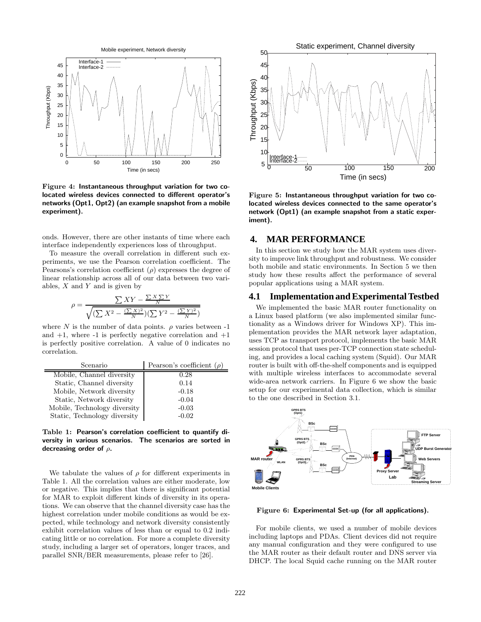

**Figure 4: Instantaneous throughput variation for two colocated wireless devices connected to different operator's networks (Opt1, Opt2) (an example snapshot from a mobile experiment).**

interface independently experiences loss of throughput. onds. However, there are other instants of time where each

To measure the overall correlation in different such experiments, we use the Pearson correlation coefficient. The Pearsons's correlation coefficient  $(\rho)$  expresses the degree of linear relationship across all of our data between two variables,  $X$  and  $Y$  and is given by

$$
\rho = \frac{\sum XY - \frac{\sum X \sum Y}{N}}{\sqrt{\left(\sum X^2 - \frac{(\sum X)^2}{N}\right)\left(\sum Y^2 - \frac{(\sum Y)^2}{N}\right)}}
$$

where N is the number of data points.  $\rho$  varies between -1 and  $+1$ , where  $-1$  is perfectly negative correlation and  $+1$ is perfectly positive correlation. A value of 0 indicates no correlation.

| Scenario                     | Pearson's coefficient $(\rho)$ |
|------------------------------|--------------------------------|
| Mobile, Channel diversity    | 0.28                           |
| Static, Channel diversity    | 0.14                           |
| Mobile, Network diversity    | $-0.18$                        |
| Static, Network diversity    | $-0.04$                        |
| Mobile, Technology diversity | $-0.03$                        |
| Static, Technology diversity | $-0.02$                        |

÷,

**Table 1: Pearson's correlation coefficient to quantify diversity in various scenarios. The scenarios are sorted in decreasing order of** ρ**.**

We tabulate the values of  $\rho$  for different experiments in Table 1. All the correlation values are either moderate, low or negative. This implies that there is significant potential for MAR to exploit different kinds of diversity in its operations. We can observe that the channel diversity case has the highest correlation under mobile conditions as would be expected, while technology and network diversity consistently exhibit correlation values of less than or equal to 0.2 indicating little or no correlation. For more a complete diversity study, including a larger set of operators, longer traces, and parallel SNR/BER measurements, please refer to [26].



**Figure 5: Instantaneous throughput variation for two colocated wireless devices connected to the same operator's network (Opt1) (an example snapshot from a static experiment).**

# **4. MAR PERFORMANCE**

In this section we study how the MAR system uses diversity to improve link throughput and robustness. We consider both mobile and static environments. In Section 5 we then study how these results affect the performance of several popular applications using a MAR system.

### **4.1 Implementation and Experimental Testbed**

We implemented the basic MAR router functionality on a Linux based platform (we also implemented similar functionality as a Windows driver for Windows XP). This implementation provides the MAR network layer adaptation, uses TCP as transport protocol, implements the basic MAR session protocol that uses per-TCP connection state scheduling, and provides a local caching system (Squid). Our MAR router is built with off-the-shelf components and is equipped with multiple wireless interfaces to accommodate several wide-area network carriers. In Figure 6 we show the basic setup for our experimental data collection, which is similar to the one described in Section 3.1.



**Figure 6: Experimental Set-up (for all applications).**

For mobile clients, we used a number of mobile devices including laptops and PDAs. Client devices did not require any manual configuration and they were configured to use the MAR router as their default router and DNS server via DHCP. The local Squid cache running on the MAR router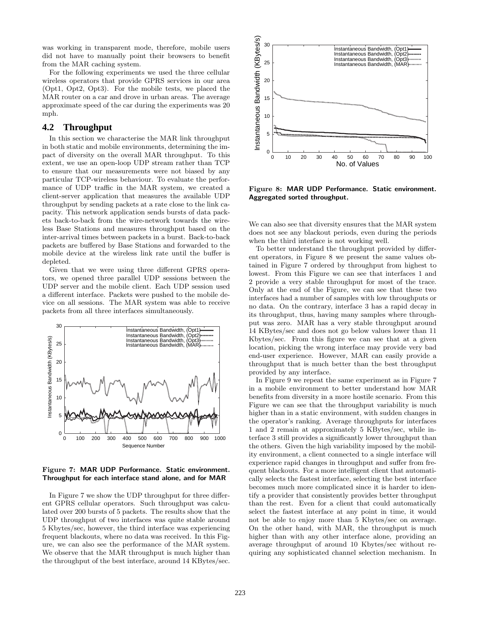was working in transparent mode, therefore, mobile users did not have to manually point their browsers to benefit from the MAR caching system.

For the following experiments we used the three cellular wireless operators that provide GPRS services in our area (Opt1, Opt2, Opt3). For the mobile tests, we placed the MAR router on a car and drove in urban areas. The average approximate speed of the car during the experiments was 20 mph.

### **4.2 Throughput**

In this section we characterise the MAR link throughput in both static and mobile environments, determining the impact of diversity on the overall MAR throughput. To this extent, we use an open-loop UDP stream rather than TCP to ensure that our measurements were not biased by any particular TCP-wireless behaviour. To evaluate the performance of UDP traffic in the MAR system, we created a client-server application that measures the available UDP throughput by sending packets at a rate close to the link capacity. This network application sends bursts of data packets back-to-back from the wire-network towards the wireless Base Stations and measures throughput based on the inter-arrival times between packets in a burst. Back-to-back packets are buffered by Base Stations and forwarded to the mobile device at the wireless link rate until the buffer is depleted.

Given that we were using three different GPRS operators, we opened three parallel UDP sessions between the UDP server and the mobile client. Each UDP session used a different interface. Packets were pushed to the mobile device on all sessions. The MAR system was able to receive packets from all three interfaces simultaneously.



#### **Figure 7: MAR UDP Performance. Static environment. Throughput for each interface stand alone, and for MAR**

In Figure 7 we show the UDP throughput for three different GPRS cellular operators. Such throughput was calculated over 200 bursts of 5 packets. The results show that the UDP throughput of two interfaces was quite stable around 5 Kbytes/sec, however, the third interface was experiencing frequent blackouts, where no data was received. In this Figure, we can also see the performance of the MAR system. We observe that the MAR throughput is much higher than the throughput of the best interface, around 14 KBytes/sec.



**Figure 8: MAR UDP Performance. Static environment. Aggregated sorted throughput.**

We can also see that diversity ensures that the MAR system does not see any blackout periods, even during the periods when the third interface is not working well.

To better understand the throughput provided by different operators, in Figure 8 we present the same values obtained in Figure 7 ordered by throughput from highest to lowest. From this Figure we can see that interfaces 1 and 2 provide a very stable throughput for most of the trace. Only at the end of the Figure, we can see that these two interfaces had a number of samples with low throughputs or no data. On the contrary, interface 3 has a rapid decay in its throughput, thus, having many samples where throughput was zero. MAR has a very stable throughput around 14 KBytes/sec and does not go below values lower than 11 Kbytes/sec. From this figure we can see that at a given location, picking the wrong interface may provide very bad end-user experience. However, MAR can easily provide a throughput that is much better than the best throughput provided by any interface.

In Figure 9 we repeat the same experiment as in Figure 7 in a mobile environment to better understand how MAR benefits from diversity in a more hostile scenario. From this Figure we can see that the throughput variability is much higher than in a static environment, with sudden changes in the operator's ranking. Average throughputs for interfaces 1 and 2 remain at approximately 5 KBytes/sec, while interface 3 still provides a significantly lower throughput than the others. Given the high variability imposed by the mobility environment, a client connected to a single interface will experience rapid changes in throughput and suffer from frequent blackouts. For a more intelligent client that automatically selects the fastest interface, selecting the best interface becomes much more complicated since it is harder to identify a provider that consistently provides better throughput than the rest. Even for a client that could automatically select the fastest interface at any point in time, it would not be able to enjoy more than 5 Kbytes/sec on average. On the other hand, with MAR, the throughput is much higher than with any other interface alone, providing an average throughput of around 10 Kbytes/sec without requiring any sophisticated channel selection mechanism. In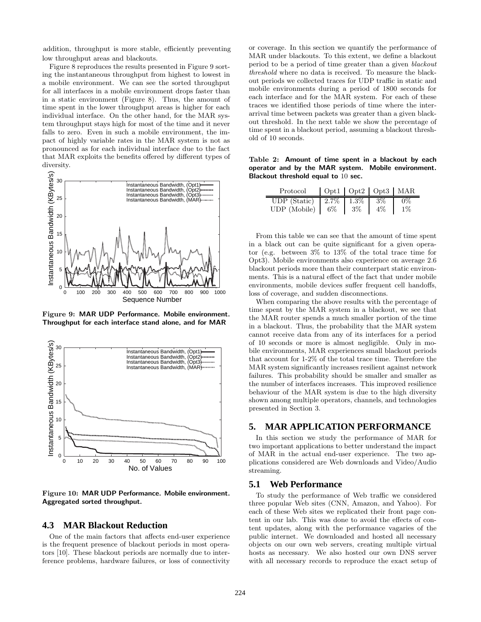low throughput areas and blackouts. addition, throughput is more stable, efficiently preventing

Figure 8 reproduces the results presented in Figure 9 sorting the instantaneous throughput from highest to lowest in a mobile environment. We can see the sorted throughput for all interfaces in a mobile environment drops faster than in a static environment (Figure 8). Thus, the amount of time spent in the lower throughput areas is higher for each individual interface. On the other hand, for the MAR system throughput stays high for most of the time and it never falls to zero. Even in such a mobile environment, the impact of highly variable rates in the MAR system is not as pronounced as for each individual interface due to the fact that MAR exploits the benefits offered by different types of diversity.



**Figure 9: MAR UDP Performance. Mobile environment. Throughput for each interface stand alone, and for MAR**



**Figure 10: MAR UDP Performance. Mobile environment. Aggregated sorted throughput.**

### **4.3 MAR Blackout Reduction**

One of the main factors that affects end-user experience is the frequent presence of blackout periods in most operators [10]. These blackout periods are normally due to interference problems, hardware failures, or loss of connectivity or coverage. In this section we quantify the performance of MAR under blackouts. To this extent, we define a blackout period to be a period of time greater than a given *blackout threshold* where no data is received. To measure the blackout periods we collected traces for UDP traffic in static and mobile environments during a period of 1800 seconds for each interface and for the MAR system. For each of these traces we identified those periods of time where the interarrival time between packets was greater than a given blackout threshold. In the next table we show the percentage of time spent in a blackout period, assuming a blackout threshold of 10 seconds.

**Table 2: Amount of time spent in a blackout by each operator and by the MAR system. Mobile environment. Blackout threshold equal to** 10 **sec.**

| Protocol                                                                     | $\vert$ Opt1 $\vert$ Opt2 $\vert$ Opt3 $\vert$ MAR |              |                |
|------------------------------------------------------------------------------|----------------------------------------------------|--------------|----------------|
| UDP $(Static)$ 2.7% 1.3%<br>UDP (Mobile) $\begin{bmatrix} 6\% \end{bmatrix}$ | - 3%                                               | -3%<br>$4\%$ | $0\%$<br>$1\%$ |

From this table we can see that the amount of time spent in a black out can be quite significant for a given operator (e.g. between 3% to 13% of the total trace time for Opt3). Mobile environments also experience on average 2.6 blackout periods more than their counterpart static environments. This is a natural effect of the fact that under mobile environments, mobile devices suffer frequent cell handoffs, loss of coverage, and sudden disconnections.

When comparing the above results with the percentage of time spent by the MAR system in a blackout, we see that the MAR router spends a much smaller portion of the time in a blackout. Thus, the probability that the MAR system cannot receive data from any of its interfaces for a period of 10 seconds or more is almost negligible. Only in mobile environments, MAR experiences small blackout periods that account for 1-2% of the total trace time. Therefore the MAR system significantly increases resilient against network failures. This probability should be smaller and smaller as the number of interfaces increases. This improved resilience behaviour of the MAR system is due to the high diversity shown among multiple operators, channels, and technologies presented in Section 3.

### **5. MAR APPLICATION PERFORMANCE**

In this section we study the performance of MAR for two important applications to better understand the impact of MAR in the actual end-user experience. The two applications considered are Web downloads and Video/Audio streaming.

### **5.1 Web Performance**

To study the performance of Web traffic we considered three popular Web sites (CNN, Amazon, and Yahoo). For each of these Web sites we replicated their front page content in our lab. This was done to avoid the effects of content updates, along with the performance vagaries of the public internet. We downloaded and hosted all necessary objects on our own web servers, creating multiple virtual hosts as necessary. We also hosted our own DNS server with all necessary records to reproduce the exact setup of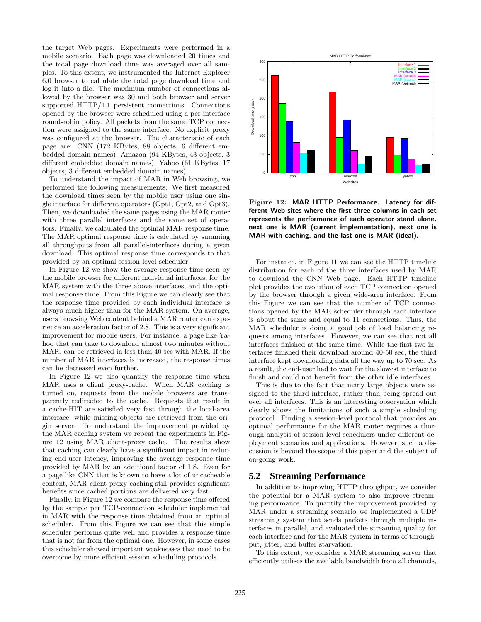the target Web pages. Experiments were performed in a mobile scenario. Each page was downloaded 20 times and the total page download time was averaged over all samples. To this extent, we instrumented the Internet Explorer 6.0 browser to calculate the total page download time and log it into a file. The maximum number of connections allowed by the browser was 30 and both browser and server supported HTTP/1.1 persistent connections. Connections opened by the browser were scheduled using a per-interface round-robin policy. All packets from the same TCP connection were assigned to the same interface. No explicit proxy was configured at the browser. The characteristic of each page are: CNN (172 KBytes, 88 objects, 6 different embedded domain names), Amazon (94 KBytes, 43 objects, 3 different embedded domain names), Yahoo (61 KBytes, 17 objects, 3 different embedded domain names).

To understand the impact of MAR in Web browsing, we performed the following measurements: We first measured the download times seen by the mobile user using one single interface for different operators (Opt1, Opt2, and Opt3). Then, we downloaded the same pages using the MAR router with three parallel interfaces and the same set of operators. Finally, we calculated the optimal MAR response time. The MAR optimal response time is calculated by summing all throughputs from all parallel-interfaces during a given download. This optimal response time corresponds to that provided by an optimal session-level scheduler.

In Figure 12 we show the average response time seen by the mobile browser for different individual interfaces, for the MAR system with the three above interfaces, and the optimal response time. From this Figure we can clearly see that the response time provided by each individual interface is always much higher than for the MAR system. On average, users browsing Web content behind a MAR router can experience an acceleration factor of 2.8. This is a very significant improvement for mobile users. For instance, a page like Yahoo that can take to download almost two minutes without MAR, can be retrieved in less than 40 sec with MAR. If the number of MAR interfaces is increased, the response times can be decreased even further.

In Figure 12 we also quantify the response time when MAR uses a client proxy-cache. When MAR caching is turned on, requests from the mobile browsers are transparently redirected to the cache. Requests that result in a cache-HIT are satisfied very fast through the local-area interface, while missing objects are retrieved from the origin server. To understand the improvement provided by the MAR caching system we repeat the experiments in Figure 12 using MAR client-proxy cache. The results show that caching can clearly have a significant impact in reducing end-user latency, improving the average response time provided by MAR by an additional factor of 1.8. Even for a page like CNN that is known to have a lot of uncacheable content, MAR client proxy-caching still provides significant benefits since cached portions are delivered very fast.

Finally, in Figure 12 we compare the response time offered by the sample per TCP-connection scheduler implemented in MAR with the response time obtained from an optimal scheduler. From this Figure we can see that this simple scheduler performs quite well and provides a response time that is not far from the optimal one. However, in some cases this scheduler showed important weaknesses that need to be overcome by more efficient session scheduling protocols.



**Figure 12: MAR HTTP Performance. Latency for different Web sites where the first three columns in each set represents the performance of each operator stand alone, next one is MAR (current implementation), next one is MAR with caching, and the last one is MAR (ideal).**

For instance, in Figure 11 we can see the HTTP timeline distribution for each of the three interfaces used by MAR to download the CNN Web page. Each HTTP timeline plot provides the evolution of each TCP connection opened by the browser through a given wide-area interface. From this Figure we can see that the number of TCP connections opened by the MAR scheduler through each interface is about the same and equal to 11 connections. Thus, the MAR scheduler is doing a good job of load balancing requests among interfaces. However, we can see that not all interfaces finished at the same time. While the first two interfaces finished their download around 40-50 sec, the third interface kept downloading data all the way up to 70 sec. As a result, the end-user had to wait for the slowest interface to finish and could not benefit from the other idle interfaces.

This is due to the fact that many large objects were assigned to the third interface, rather than being spread out over all interfaces. This is an interesting observation which clearly shows the limitations of such a simple scheduling protocol. Finding a session-level protocol that provides an optimal performance for the MAR router requires a thorough analysis of session-level schedulers under different deployment scenarios and applications. However, such a discussion is beyond the scope of this paper and the subject of on-going work.

#### **5.2 Streaming Performance**

In addition to improving HTTP throughput, we consider the potential for a MAR system to also improve streaming performance. To quantify the improvement provided by MAR under a streaming scenario we implemented a UDP streaming system that sends packets through multiple interfaces in parallel, and evaluated the streaming quality for each interface and for the MAR system in terms of throughput, jitter, and buffer starvation.

To this extent, we consider a MAR streaming server that efficiently utilises the available bandwidth from all channels,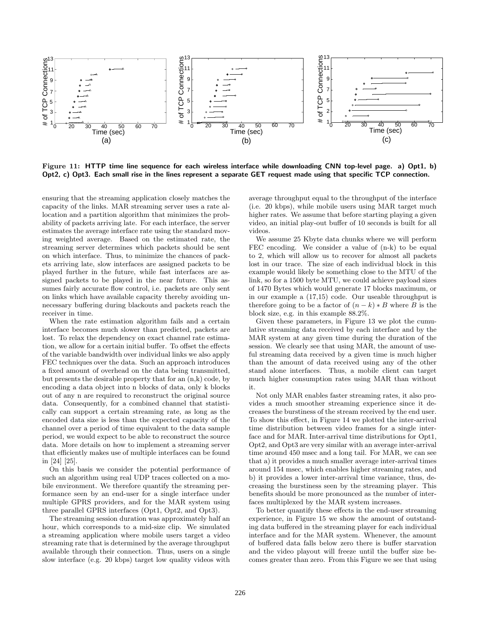

**Figure 11: HTTP time line sequence for each wireless interface while downloading CNN top-level page. a) Opt1, b) Opt2, c) Opt3. Each small rise in the lines represent a separate GET request made using that specific TCP connection.**

ensuring that the streaming application closely matches the capacity of the links. MAR streaming server uses a rate allocation and a partition algorithm that minimizes the probability of packets arriving late. For each interface, the server estimates the average interface rate using the standard moving weighted average. Based on the estimated rate, the streaming server determines which packets should be sent on which interface. Thus, to minimize the chances of packets arriving late, slow interfaces are assigned packets to be played further in the future, while fast interfaces are assigned packets to be played in the near future. This assumes fairly accurate flow control, i.e. packets are only sent on links which have available capacity thereby avoiding unnecessary buffering during blackouts and packets reach the receiver in time.

When the rate estimation algorithm fails and a certain interface becomes much slower than predicted, packets are lost. To relax the dependency on exact channel rate estimation, we allow for a certain initial buffer. To offset the effects of the variable bandwidth over individual links we also apply FEC techniques over the data. Such an approach introduces a fixed amount of overhead on the data being transmitted, but presents the desirable property that for an (n,k) code, by encoding a data object into n blocks of data, only k blocks out of any n are required to reconstruct the original source data. Consequently, for a combined channel that statistically can support a certain streaming rate, as long as the encoded data size is less than the expected capacity of the channel over a period of time equivalent to the data sample period, we would expect to be able to reconstruct the source data. More details on how to implement a streaming server that efficiently makes use of multiple interfaces can be found in [24] [25].

On this basis we consider the potential performance of such an algorithm using real UDP traces collected on a mobile environment. We therefore quantify the streaming performance seen by an end-user for a single interface under multiple GPRS providers, and for the MAR system using three parallel GPRS interfaces (Opt1, Opt2, and Opt3).

The streaming session duration was approximately half an hour, which corresponds to a mid-size clip. We simulated a streaming application where mobile users target a video streaming rate that is determined by the average throughput available through their connection. Thus, users on a single slow interface (e.g. 20 kbps) target low quality videos with average throughput equal to the throughput of the interface (i.e. 20 kbps), while mobile users using MAR target much higher rates. We assume that before starting playing a given video, an initial play-out buffer of 10 seconds is built for all videos.

We assume 25 Kbyte data chunks where we will perform FEC encoding. We consider a value of (n-k) to be equal to 2, which will allow us to recover for almost all packets lost in our trace. The size of each individual block in this example would likely be something close to the MTU of the link, so for a 1500 byte MTU, we could achieve payload sizes of 1470 Bytes which would generate 17 blocks maximum, or in our example a (17,15) code. Our useable throughput is therefore going to be a factor of  $(n - k) * B$  where B is the block size, e.g. in this example 88.2%.

Given these parameters, in Figure 13 we plot the cumulative streaming data received by each interface and by the MAR system at any given time during the duration of the session. We clearly see that using MAR, the amount of useful streaming data received by a given time is much higher than the amount of data received using any of the other stand alone interfaces. Thus, a mobile client can target much higher consumption rates using MAR than without it.

Not only MAR enables faster streaming rates, it also provides a much smoother streaming experience since it decreases the burstiness of the stream received by the end user. To show this effect, in Figure 14 we plotted the inter-arrival time distribution between video frames for a single interface and for MAR. Inter-arrival time distributions for Opt1, Opt2, and Opt3 are very similar with an average inter-arrival time around 450 msec and a long tail. For MAR, we can see that a) it provides a much smaller average inter-arrival times around 154 msec, which enables higher streaming rates, and b) it provides a lower inter-arrival time variance, thus, decreasing the burstiness seen by the streaming player. This benefits should be more pronounced as the number of interfaces multiplexed by the MAR system increases.

To better quantify these effects in the end-user streaming experience, in Figure 15 we show the amount of outstanding data buffered in the streaming player for each individual interface and for the MAR system. Whenever, the amount of buffered data falls below zero there is buffer starvation and the video playout will freeze until the buffer size becomes greater than zero. From this Figure we see that using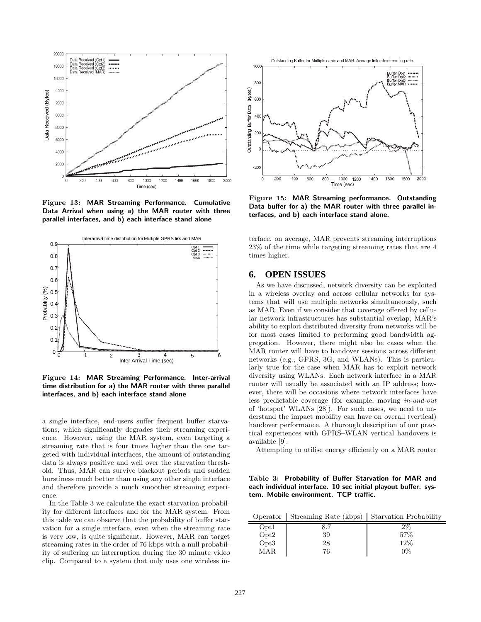

**Figure 13: MAR Streaming Performance. Cumulative Data Arrival when using a) the MAR router with three parallel interfaces, and b) each interface stand alone**



**Figure 14: MAR Streaming Performance. Inter-arrival time distribution for a) the MAR router with three parallel interfaces, and b) each interface stand alone**

a single interface, end-users suffer frequent buffer starvations, which significantly degrades their streaming experience. However, using the MAR system, even targeting a streaming rate that is four times higher than the one targeted with individual interfaces, the amount of outstanding data is always positive and well over the starvation threshold. Thus, MAR can survive blackout periods and sudden burstiness much better than using any other single interface and therefore provide a much smoother streaming experience.

In the Table 3 we calculate the exact starvation probability for different interfaces and for the MAR system. From this table we can observe that the probability of buffer starvation for a single interface, even when the streaming rate is very low, is quite significant. However, MAR can target streaming rates in the order of 76 kbps with a null probability of suffering an interruption during the 30 minute video clip. Compared to a system that only uses one wireless in-



**Figure 15: MAR Streaming performance. Outstanding Data buffer for a) the MAR router with three parallel interfaces, and b) each interface stand alone.**

terface, on average, MAR prevents streaming interruptions 23% of the time while targeting streaming rates that are 4 times higher.

# **6. OPEN ISSUES**

As we have discussed, network diversity can be exploited in a wireless overlay and across cellular networks for systems that will use multiple networks simultaneously, such as MAR. Even if we consider that coverage offered by cellular network infrastructures has substantial overlap, MAR's ability to exploit distributed diversity from networks will be for most cases limited to performing good bandwidth aggregation. However, there might also be cases when the MAR router will have to handover sessions across different networks (e.g., GPRS, 3G, and WLANs). This is particularly true for the case when MAR has to exploit network diversity using WLANs. Each network interface in a MAR router will usually be associated with an IP address; however, there will be occasions where network interfaces have less predictable coverage (for example, moving *in-and-out* of 'hotspot' WLANs [28]). For such cases, we need to understand the impact mobility can have on overall (vertical) handover performance. A thorough description of our practical experiences with GPRS–WLAN vertical handovers is available [9].

Attempting to utilise energy efficiently on a MAR router

**Table 3: Probability of Buffer Starvation for MAR and each individual interface. 10 sec initial playout buffer. system. Mobile environment. TCP traffic.**

|      | Operator Streaming Rate (kbps) | Starvation Probability |
|------|--------------------------------|------------------------|
| Opt1 | 8.7                            | $2\%$                  |
| Opt2 | 39                             | 57%                    |
| Opt3 | 28                             | 12%                    |
| MAR  | 76                             | $0\%$                  |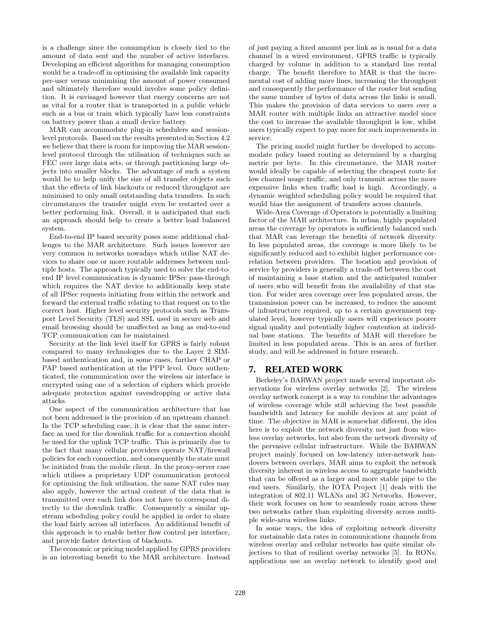is a challenge since the consumption is closely tied to the amount of data sent and the number of active interfaces. Developing an efficient algorithm for managing consumption would be a trade-off in optimising the available link capacity per-user versus minimising the amount of power consumed and ultimately therefore would involve some policy definition. It is envisaged however that energy concerns are not as vital for a router that is transported in a public vehicle such as a bus or train which typically have less constraints on battery power than a small device battery.

MAR can accommodate plug-in schedulers and sessionlevel protocols. Based on the results presented in Section 4.2 we believe that there is room for improving the MAR sessionlevel protocol through the utilisation of techniques such as FEC over large data sets, or through partitioning large objects into smaller blocks. The advantage of such a system would be to help unify the size of all transfer objects such that the effects of link blackouts or reduced throughput are minimised to only small outstanding data transfers. In such circumstances the transfer might even be restarted over a better performing link. Overall, it is anticipated that such an approach should help to create a better load balanced system.

End-to-end IP based security poses some additional challenges to the MAR architecture. Such issues however are very common in networks nowadays which utilise NAT devices to share one or more routable addresses between multiple hosts. The approach typically used to solve the end-toend IP level communication is dynamic IPSec pass-through which requires the NAT device to additionally keep state of all IPSec requests initiating from within the network and forward the external traffic relating to that request on to the correct host. Higher level security protocols such as Transport Level Security (TLS) and SSL used in secure web and email browsing should be unaffected as long as end-to-end TCP communication can be maintained.

Security at the link level itself for GPRS is fairly robust compared to many technologies due to the Layer 2 SIMbased authentication and, in some cases, further CHAP or PAP based authentication at the PPP level. Once authenticated, the communication over the wireless air interface is encrypted using one of a selection of ciphers which provide adequate protection against eavesdropping or active data attacks.

One aspect of the communication architecture that has not been addressed is the provision of an upstream channel. In the TCP scheduling case, it is clear that the same interface as used for the downlink traffic for a connection should be used for the uplink TCP traffic. This is primarily due to the fact that many cellular providers operate NAT/firewall policies for each connection, and consequently the state must be initiated from the mobile client. In the proxy-server case which utilises a proprietary UDP communication protocol for optimising the link utilisation, the same NAT rules may also apply, however the actual content of the data that is transmitted over each link does not have to correspond directly to the downlink traffic. Consequently a similar upstream scheduling policy could be applied in order to share the load fairly across all interfaces. An additional benefit of this approach is to enable better flow control per interface, and provide faster detection of blackouts.

The economic or pricing model applied by GPRS providers is an interesting benefit to the MAR architecture. Instead of just paying a fixed amount per link as is usual for a data channel in a wired environment, GPRS traffic is typically charged by volume in addition to a standard line rental charge. The benefit therefore to MAR is that the incremental cost of adding more lines, increasing the throughput and consequently the performance of the router but sending the same number of bytes of data across the links is small. This makes the provision of data services to users over a MAR router with multiple links an attractive model since the cost to increase the available throughput is low, whilst users typically expect to pay more for such improvements in service.

The pricing model might further be developed to accommodate policy based routing as determined by a charging metric per byte. In this circumstance, the MAR router would ideally be capable of selecting the cheapest route for low channel usage traffic, and only transmit across the more expensive links when traffic load is high. Accordingly, a dynamic weighted scheduling policy would be required that would bias the assignment of transfers across channels.

Wide-Area Coverage of Operators is potentially a limiting factor of the MAR architecture. In urban, highly populated areas the coverage by operators is sufficiently balanced such that MAR can leverage the benefits of network diversity. In less populated areas, the coverage is more likely to be significantly reduced and to exhibit higher performance correlation between providers. The location and provision of service by providers is generally a trade-off between the cost of maintaining a base station and the anticipated number of users who will benefit from the availability of that station. For wider area coverage over less populated areas, the transmission power can be increased, to reduce the amount of infrastructure required, up to a certain government regulated level, however typically users will experience poorer signal quality and potentially higher contention at individual base stations. The benefits of MAR will therefore be limited in less populated areas. This is an area of further study, and will be addressed in future research.

# **7. RELATED WORK**

Berkeley's BARWAN project made several important observations for wireless overlay networks [2]. The wireless overlay network concept is a way to combine the advantages of wireless coverage while still achieving the best possible bandwidth and latency for mobile devices at any point of time. The objective in MAR is somewhat different, the idea here is to exploit the network diversity not just from wireless overlay networks, but also from the network diversity of the pervasive cellular infrastructure. While the BARWAN project mainly focused on low-latency inter-network handovers between overlays, MAR aims to exploit the network diversity inherent in wireless access to aggregate bandwidth that can be offered as a larger and more stable pipe to the end users. Similarly, the IOTA Project [1] deals with the integration of 802.11 WLANs and 3G Networks. However, their work focuses on how to seamlessly roam across these two networks rather than exploiting diversity across multiple wide-area wireless links.

In some ways, the idea of exploiting network diversity for sustainable data rates in communications channels from wireless overlay and cellular networks has quite similar objectives to that of resilient overlay networks [5]. In RONs, applications use an overlay network to identify good and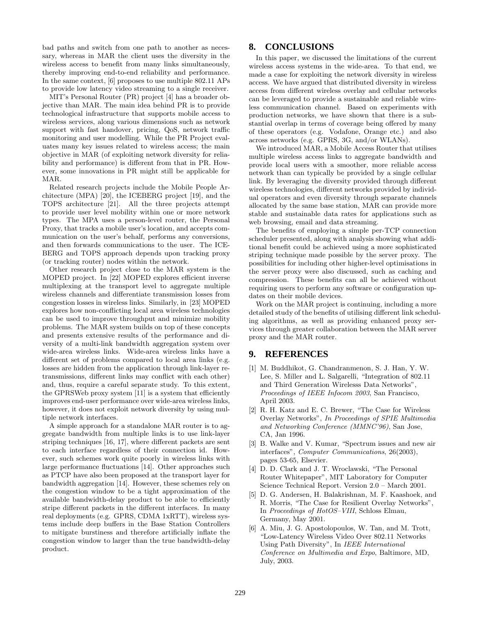bad paths and switch from one path to another as necessary, whereas in MAR the client uses the diversity in the wireless access to benefit from many links simultaneously, thereby improving end-to-end reliability and performance. In the same context, [6] proposes to use multiple 802.11 APs to provide low latency video streaming to a single receiver.

MIT's Personal Router (PR) project [4] has a broader objective than MAR. The main idea behind PR is to provide technological infrastructure that supports mobile access to wireless services, along various dimensions such as network support with fast handover, pricing, QoS, network traffic monitoring and user modelling. While the PR Project evaluates many key issues related to wireless access; the main objective in MAR (of exploiting network diversity for reliability and performance) is different from that in PR. However, some innovations in PR might still be applicable for MAR.

Related research projects include the Mobile People Architecture (MPA) [20], the ICEBERG project [19], and the TOPS architecture [21]. All the three projects attempt to provide user level mobility within one or more network types. The MPA uses a person-level router, the Personal Proxy, that tracks a mobile user's location, and accepts communication on the user's behalf, performs any conversions, and then forwards communications to the user. The ICE-BERG and TOPS approach depends upon tracking proxy (or tracking router) nodes within the network.

Other research project close to the MAR system is the MOPED project. In [22] MOPED explores efficient inverse multiplexing at the transport level to aggregate multiple wireless channels and differentiate transmission losses from congestion losses in wireless links. Similarly, in [23] MOPED explores how non-conflicting local area wireless technologies can be used to improve throughput and minimize mobility problems. The MAR system builds on top of these concepts and presents extensive results of the performance and diversity of a multi-link bandwidth aggregation system over wide-area wireless links. Wide-area wireless links have a different set of problems compared to local area links (e.g. losses are hidden from the application through link-layer retransmissions, different links may conflict with each other) and, thus, require a careful separate study. To this extent, the GPRSWeb proxy system [11] is a system that efficiently improves end-user performance over wide-area wireless links, however, it does not exploit network diversity by using multiple network interfaces.

A simple approach for a standalone MAR router is to aggregate bandwidth from multiple links is to use link-layer striping techniques [16, 17], where different packets are sent to each interface regardless of their connection id. However, such schemes work quite poorly in wireless links with large performance fluctuations [14]. Other approaches such as PTCP have also been proposed at the transport layer for bandwidth aggregation [14]. However, these schemes rely on the congestion window to be a tight approximation of the available bandwidth-delay product to be able to efficiently stripe different packets in the different interfaces. In many real deployments (e.g. GPRS, CDMA 1xRTT), wireless systems include deep buffers in the Base Station Controllers to mitigate burstiness and therefore artificially inflate the congestion window to larger than the true bandwidth-delay product.

### **8. CONCLUSIONS**

In this paper, we discussed the limitations of the current wireless access systems in the wide-area. To that end, we made a case for exploiting the network diversity in wireless access. We have argued that distributed diversity in wireless access from different wireless overlay and cellular networks can be leveraged to provide a sustainable and reliable wireless communication channel. Based on experiments with production networks, we have shown that there is a substantial overlap in terms of coverage being offered by many of these operators (e.g. Vodafone, Orange etc.) and also across networks (e.g. GPRS, 3G, and/or WLANs).

We introduced MAR, a Mobile Access Router that utilises multiple wireless access links to aggregate bandwidth and provide local users with a smoother, more reliable access network than can typically be provided by a single cellular link. By leveraging the diversity provided through different wireless technologies, different networks provided by individual operators and even diversity through separate channels allocated by the same base station, MAR can provide more stable and sustainable data rates for applications such as web browsing, email and data streaming.

The benefits of employing a simple per-TCP connection scheduler presented, along with analysis showing what additional benefit could be achieved using a more sophisticated striping technique made possible by the server proxy. The possibilities for including other higher-level optimisations in the server proxy were also discussed, such as caching and compression. These benefits can all be achieved without requiring users to perform any software or configuration updates on their mobile devices.

Work on the MAR project is continuing, including a more detailed study of the benefits of utilising different link scheduling algorithms, as well as providing enhanced proxy services through greater collaboration between the MAR server proxy and the MAR router.

### **9. REFERENCES**

- [1] M. Buddhikot, G. Chandranmenon, S. J. Han, Y. W. Lee, S. Miller and L. Salgarelli, "Integration of 802.11 and Third Generation Wirelesss Data Networks", *Proceedings of IEEE Infocom 2003*, San Francisco, April 2003.
- [2] R. H. Katz and E. C. Brewer, "The Case for Wireless Overlay Networks", *In Proceedings of SPIE Multimedia and Networking Conference (MMNC'96)*, San Jose, CA, Jan 1996.
- [3] B. Walke and V. Kumar, "Spectrum issues and new air interfaces", *Computer Communications*, 26(2003), pages 53-65, Elsevier.
- [4] D. D. Clark and J. T. Wroclawski, "The Personal Router Whitepaper", MIT Laboratory for Computer Science Technical Report. Version 2.0 – March 2001.
- [5] D. G. Andersen, H. Balakrishnan, M. F. Kaashoek, and R. Morris, "The Case for Resilient Overlay Networks", In *Proceedings of HotOS–VIII*, Schloss Elmau, Germany, May 2001.
- [6] A. Miu, J. G. Apostolopoulos, W. Tan, and M. Trott, "Low-Latency Wireless Video Over 802.11 Networks Using Path Diversity", In *IEEE International Conference on Multimedia and Expo*, Baltimore, MD, July, 2003.